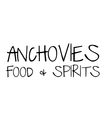## ANCHOVIES FOOD & SPIRITS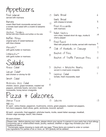petizers

| Fried Calamari                                                                                          | $\mathcal{Z}_{2}$ | Garlic Bread                                                          | 6               |
|---------------------------------------------------------------------------------------------------------|-------------------|-----------------------------------------------------------------------|-----------------|
| served with marinara<br>Burrata                                                                         | 2                 | Garlic Bread<br>with cheese & tomato                                  | 8               |
| cream filled fresh mozzerella served over<br>a tomato basil salad with a crostini & balsamic<br>drizzle |                   | Fried Mozzarella<br>with marinara                                     | 9               |
| ChicKen Tenders<br>served with blue cheese and buffalo on the side                                      | 2                 | Italian Nachos<br>corn chips, braised short rib ragu, ricotta &       | 4               |
| Buffalo Wings                                                                                           | 12                | cherry pepper                                                         |                 |
| original spicy or sweet barbecue<br>with blue cheese                                                    |                   | Fried Ravioli<br>filled with jalopeño & ricotta, served with marinara | 9               |
| Mussels**<br>with garlic butter or marinara                                                             | $ 4\rangle$       | Side of Meatballs or Sausage                                          |                 |
| LittlenecKs**                                                                                           |                   | Basket of Fries                                                       | 7               |
| with garlic butter or marinara                                                                          | 15                | Basket of Truffle Parmesan Fries                                      | $\overline{10}$ |
| Salads                                                                                                  |                   |                                                                       |                 |
| House Salad                                                                                             | 5                 | Chicken + Artichoke Hearts                                            | 12              |
| Caesar Salad*<br>add chicken or shrimp for \$3                                                          | 8                 | served in a basil pesto vinaigrette<br>Caprese Salad                  | $\mathbb{I}$    |
| Greek Salad                                                                                             |                   | tomato, fresh mozzarella, basil                                       |                 |
| Anchoving Chap Salad                                                                                    |                   |                                                                       |                 |

Anchovies Chop Salad chicken, bacon, grape tomatoes, roasted red peppers, artichoke hearts, red onion, fresh mozzarella, honey lemon vinaigrette

Pizza + Calzones

Cheese Pizza

15 Calzone 15

Add-ons

\$1 each - extra cheese, pepperoni, mushrooms, onions, green peppers, roasted red peppers, hot cherry peppers, black olives, garlic, anchovies, broccoli, spinach

15

\$2 each - prosciutto, fried eggplant, artichoke hearts, ricotta, sweet italian sausage, meatball, chicken sage sausage, bacon, feta cheese

\$3 each-chicken

Please note : Before placing your order, please inform your server if a person in your party has a food allergy. Consuming raw or undercooked meats, poultry, seafood, shellfish or eggs may increase your risk of foodbourne illness.

\*\*Homemade caesar dressing is made with raw eggs.\*These items are cooked to order or contain raw ingredients For parties of six or more, an 18% gratuity will be addeed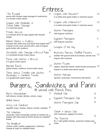## Entrees

| "The Kicciardi"<br>penne with chicken sage sausage & mushrooms<br>in a tomato cream sauce                                           | 19              | Linguine with Mussels**<br>in a white wine garlic butter or marinara sauce                                                                  | 20 |
|-------------------------------------------------------------------------------------------------------------------------------------|-----------------|---------------------------------------------------------------------------------------------------------------------------------------------|----|
| Linguine with Meatballs or<br>Sweet Italian Sausage<br>in a marinara sauce                                                          | 19              | Linguine with LittlenecKs**<br>in a white wine garlic butter or marinara sauce                                                              |    |
| Potato Gnocchi<br>in a braised short rib ragu topped with shaved<br>asiago                                                          | 19              | ChicKen Parmigiana<br>with linguine marinara                                                                                                | 20 |
| $B$ a $\leq$ ed Shrimp & Scallops<br>sauteed with white wine and butter then baked with $20$                                        |                 | Eggplant Parmigiana<br>with linguine marinara                                                                                               | 19 |
| a bread crumb crust, served with a side of linguini<br>garlic butter with scallions                                                 |                 | Lasagna of the Day                                                                                                                          | 19 |
| Orecchiette with Sausage & Broccoli Rabe<br>in a sundried tomato cream sauce                                                        | 19              | Anchovies Famous Stuffed Peppers<br>stuffed with ground beef and cheese, served over                                                        | 20 |
| Penne with Chicken & Broccoli<br>in a garlic cream sauce                                                                            |                 | linguini with marinara                                                                                                                      |    |
| Burrata Kavioli<br>grape tomato, scallions, brown butter sauce                                                                      | 20              | Chicken Piccata<br>capers, artichoke hearts, diced tomato and penne $20$<br>tossed in a white wine lemon sauce                              |    |
| Three Cheese Tortellini with ChicKen,<br>Asparagus & Sundried Tomato<br>in a gorgonzola cream sauce                                 | 19              | Chicken Marsala<br>spinach, prosciutto, mushrooms with penne                                                                                | 20 |
| Bacon Cheeseburger<br>with lettuce, tomato, pickles, onions, mayo                                                                   | 17              | Burgers, Sandwiches and Panini<br>Meatball Sub<br>16<br>16                                                                                  |    |
| Grilled Cheese                                                                                                                      | $\overline{10}$ | Eggplant Parmigiana Sub<br>16                                                                                                               |    |
| Crispy Cod Sandwich<br>jalapeño mayo, cheese, lettuce, tomato, coleslaw                                                             | 16              | Chicken Parmigiana Sub                                                                                                                      |    |
| The Columbus<br>prosciutto, fresh mozzarella, tomato & roasted red  6<br>pepper with fresh basil & EVOO served on ciabatta<br>bread |                 | $Steak \triangleleft Cheese Sub$<br>with mushroom, peppers & onions<br>16<br>The Tremont<br>B.L.T with grilled chicken, american cheese and |    |
| The Braddock<br>16<br>chicken cutlet, pickles, pepperocini, american<br>cheese & mayo on ciabatta bread                             |                 | 16<br>mayo                                                                                                                                  |    |